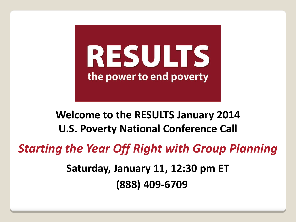

# **Welcome to the RESULTS January 2014 U.S. Poverty National Conference Call**

*Starting the Year Off Right with Group Planning*

**Saturday, January 11, 12:30 pm ET (888) 409-6709**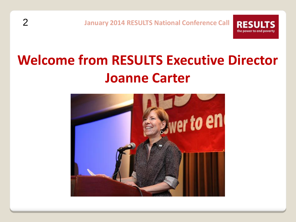**RESUL** 

the power to end poverty

# **Welcome from RESULTS Executive Director Joanne Carter**

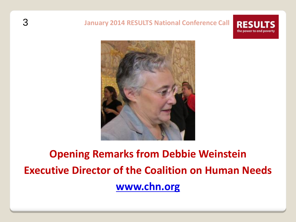#### 3 **January 2014 RESULTS National Conference Call RES** the power to end poverty



# **Opening Remarks from Debbie Weinstein Executive Director of the Coalition on Human Needs [www.chn.org](http://www.chn.org/)**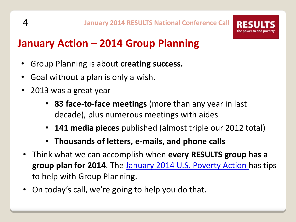# **January Action – 2014 Group Planning**

- Group Planning is about **creating success.**
- Goal without a plan is only a wish.
- 2013 was a great year
	- **83 face-to-face meetings** (more than any year in last decade), plus numerous meetings with aides
	- **141 media pieces** published (almost triple our 2012 total)
	- **Thousands of letters, e-mails, and phone calls**
- Think what we can accomplish when **every RESULTS group has a group plan for 2014**. The [January 2014 U.S. Poverty Action h](http://www.results.org/take_action/january_2014_u.s._poverty_action/)as tips to help with Group Planning.
- On today's call, we're going to help you do that.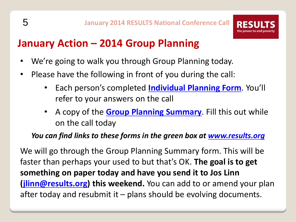

# **January Action – 2014 Group Planning**

- We're going to walk you through Group Planning today.
- Please have the following in front of you during the call:
	- Each person's completed **[Individual Planning Form](http://www.results.org/uploads/files/2014_Individual_Planning_Form.doc)**. You'll refer to your answers on the call
	- A copy of the **[Group Planning Summary](http://www.results.org/uploads/files/2014_Group_Planning_Summary.doc)**. Fill this out while on the call today

### *You can find links to these forms in the green box at [www.results.org](http://www.results.org/)*

We will go through the Group Planning Summary form. This will be faster than perhaps your used to but that's OK. **The goal is to get something on paper today and have you send it to Jos Linn ([jlinn@results.org\)](mailto:jlinn@results.org) this weekend.** You can add to or amend your plan after today and resubmit it  $-$  plans should be evolving documents.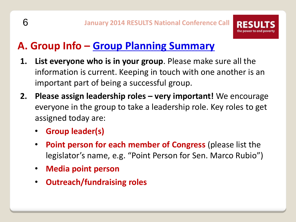# **A. Group Info – [Group Planning Summary](http://www.results.org/uploads/files/2014_Group_Planning_Summary.doc)**

- **1. List everyone who is in your group**. Please make sure all the information is current. Keeping in touch with one another is an important part of being a successful group.
- **2. Please assign leadership roles – very important!** We encourage everyone in the group to take a leadership role. Key roles to get assigned today are:
	- **Group leader(s)**
	- **Point person for each member of Congress** (please list the legislator's name, e.g. "Point Person for Sen. Marco Rubio")
	- **Media point person**
	- **Outreach/fundraising roles**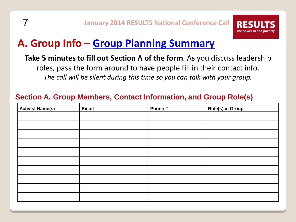

# **A. Group Info – [Group Planning Summary](http://www.results.org/uploads/files/2014_Group_Planning_Summary.doc)**

#### **Take 5 minutes to fill out Section A of the form**. As you discuss leadership

roles, pass the form around to have people fill in their contact info. *The call will be silent during this time so you can talk with your group.*

### **Section A. Group Members, Contact Information, and Group Role(s)**

| <b>Activist Name(s)</b> | <b>Email</b> | Phone # | <b>Role(s) in Group</b> |
|-------------------------|--------------|---------|-------------------------|
|                         |              |         |                         |
|                         |              |         |                         |
|                         |              |         |                         |
|                         |              |         |                         |
|                         |              |         |                         |
|                         |              |         |                         |
|                         |              |         |                         |
|                         |              |         |                         |
|                         |              |         |                         |
|                         |              |         |                         |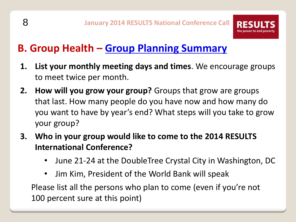# **B. Group Health – [Group Planning Summary](http://www.results.org/uploads/files/2014_Group_Planning_Summary.doc)**

- **1. List your monthly meeting days and times**. We encourage groups to meet twice per month.
- **2. How will you grow your group?** Groups that grow are groups that last. How many people do you have now and how many do you want to have by year's end? What steps will you take to grow your group?
- **3. Who in your group would like to come to the 2014 RESULTS International Conference?**
	- June 21-24 at the DoubleTree Crystal City in Washington, DC
	- Jim Kim, President of the World Bank will speak

Please list all the persons who plan to come (even if you're not 100 percent sure at this point)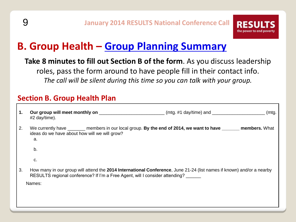

# **B. Group Health – [Group Planning Summary](http://www.results.org/uploads/files/2014_Group_Planning_Summary.doc)**

**Take 8 minutes to fill out Section B of the form**. As you discuss leadership roles, pass the form around to have people fill in their contact info. *The call will be silent during this time so you can talk with your group.*

#### **Section B. Group Health Plan**

| 1. | (m <sub>tq</sub> )<br>#2 day/time).                                                                                                                                                                   |
|----|-------------------------------------------------------------------------------------------------------------------------------------------------------------------------------------------------------|
| 2. | We currently have _______ members in our local group. By the end of 2014, we want to have _______ members. What<br>ideas do we have about how will we will grow?<br>a.                                |
|    | b.                                                                                                                                                                                                    |
|    | c.                                                                                                                                                                                                    |
| 3. | How many in our group will attend the 2014 International Conference, June 21-24 (list names if known) and/or a nearby<br>RESULTS regional conference? If I'm a Free Agent, will I consider attending? |
|    | Names:                                                                                                                                                                                                |
|    |                                                                                                                                                                                                       |
|    |                                                                                                                                                                                                       |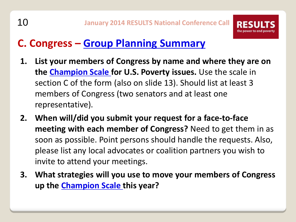

# **C. Congress – [Group Planning Summary](http://www.results.org/uploads/files/2014_Group_Planning_Summary.doc)**

- **1. List your members of Congress by name and where they are on the [Champion Scale](http://www.results.org/skills_center/champion_scale/) for U.S. Poverty issues.** Use the scale in section C of the form (also on slide 13). Should list at least 3 members of Congress (two senators and at least one representative).
- **2. When will/did you submit your request for a face-to-face meeting with each member of Congress?** Need to get them in as soon as possible. Point persons should handle the requests. Also, please list any local advocates or coalition partners you wish to invite to attend your meetings.
- **3. What strategies will you use to move your members of Congress up the [Champion Scale t](http://www.results.org/skills_center/champion_scale/)his year?**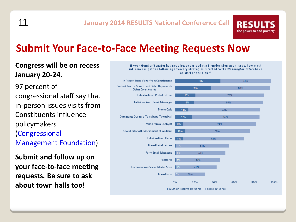11 **January 2014 RESULTS National Conference Call**

## **Submit Your Face-to-Face Meeting Requests Now**

#### **Congress will be on recess January 20-24.**

97 percent of congressional staff say that in-person issues visits from Constituents influence policymakers ([Congressional](http://www.congressfoundation.org/storage/documents/CMF_Pubs/cwc-perceptions-of-citizen-advocacy.pdf)  [Management Foundation\)](http://www.congressfoundation.org/storage/documents/CMF_Pubs/cwc-perceptions-of-citizen-advocacy.pdf)

**Submit and follow up on your face-to-face meeting requests. Be sure to ask about town halls too!**



**RESUL** 

the power to end poverty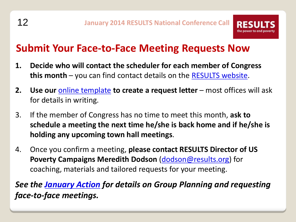

## **Submit Your Face-to-Face Meeting Requests Now**

- **1. Decide who will contact the scheduler for each member of Congress this month** – you can find contact details on the [RESULTS website](http://capwiz.com/results/dbq/officials/).
- **2.** Use our **[online template](http://capwiz.com/results/issues/alert/?alertid=7268106&MC_plugin=2201)** to create a request letter most offices will ask for details in writing.
- 3. If the member of Congress has no time to meet this month, **ask to schedule a meeting the next time he/she is back home and if he/she is holding any upcoming town hall meetings**.
- 4. Once you confirm a meeting, **please contact RESULTS Director of US Poverty Campaigns Meredith Dodson [\(dodson@results.org\)](mailto:dodson@results.org)** for coaching, materials and tailored requests for your meeting.

*See the [January Action](http://www.results.org/take_action/january_2014_u.s._poverty_action/) for details on Group Planning and requesting face-to-face meetings.*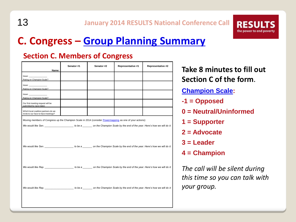13 **January 2014 RESULTS National Conference Call**



#### **Section C. Members of Congress**

| Name:                                                                                                                                                                                                                                                       | Senator #1 | Senator #2 | Representative #1 | Representative #2 |
|-------------------------------------------------------------------------------------------------------------------------------------------------------------------------------------------------------------------------------------------------------------|------------|------------|-------------------|-------------------|
| Issue: The Company of the Company of the Company of the Company of the Company of the Company of the Company of the Company of the Company of the Company of the Company of the Company of the Company of the Company of the C<br>Rating on Champion Scale? |            |            |                   |                   |
| Rating on Champion Scale?                                                                                                                                                                                                                                   |            |            |                   |                   |
| Rating on Champion Scale?                                                                                                                                                                                                                                   |            |            |                   |                   |
| Our first meeting request will be<br>submitted by (give date):                                                                                                                                                                                              |            |            |                   |                   |
| Which local coalition partners do we<br>invite to our face-to-face meetings?                                                                                                                                                                                |            |            |                   |                   |
| Moving members of Congress up the Champion Scale in 2014 (consider Powermapping as one of your actions):                                                                                                                                                    |            |            |                   |                   |
|                                                                                                                                                                                                                                                             |            |            |                   |                   |
| We would like Sen. _________________________ to be a____________ on the Champion Scale by the end of the year. Here's how we will do it:                                                                                                                    |            |            |                   |                   |
| We would like Rep. The same to be a state on the Champion Scale by the end of the year. Here's how we will do it:                                                                                                                                           |            |            |                   |                   |
| We would like Rep. _______________________to be a__________on the Champion Scale by the end of the year. Here's how we will do it:                                                                                                                          |            |            |                   |                   |
|                                                                                                                                                                                                                                                             |            |            |                   |                   |

**Take 8 minutes to fill out Section C of the form**. **[Champion Scale:](http://www.results.org/skills_center/champion_scale/) -1 = Opposed 0 = Neutral/Uninformed 1 = Supporter 2 = Advocate 3 = Leader 4 = Champion** *The call will be silent during this time so you can talk with* 

*your group.*

**RESUL** the power to end poverty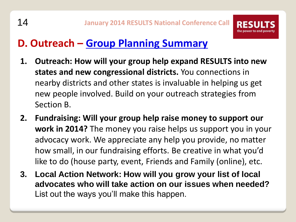# **D. Outreach – [Group Planning Summary](http://www.results.org/uploads/files/2014_Group_Planning_Summary.doc)**

- **1. Outreach: How will your group help expand RESULTS into new states and new congressional districts.** You connections in nearby districts and other states is invaluable in helping us get new people involved. Build on your outreach strategies from Section B.
- **2. Fundraising: Will your group help raise money to support our work in 2014?** The money you raise helps us support you in your advocacy work. We appreciate any help you provide, no matter how small, in our fundraising efforts. Be creative in what you'd like to do (house party, event, Friends and Family (online), etc.
- **3. Local Action Network: How will you grow your list of local advocates who will take action on our issues when needed?** List out the ways you'll make this happen.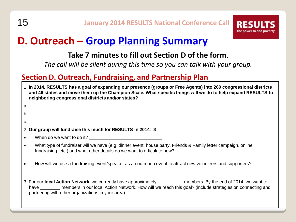

# **D. Outreach – [Group Planning Summary](http://www.results.org/uploads/files/2014_Group_Planning_Summary.doc)**

### **Take 7 minutes to fill out Section D of the form**.

*The call will be silent during this time so you can talk with your group.*

#### **Section D. Outreach, Fundraising, and Partnership Plan**

| 1. In 2014, RESULTS has a goal of expanding our presence (groups or Free Agents) into 260 congressional districts<br>and 46 states and move them up the Champion Scale. What specific things will we do to help expand RESULTS to<br>neighboring congressional districts and/or states? |                                                                                                                                                                                                                                                                                                       |  |  |
|-----------------------------------------------------------------------------------------------------------------------------------------------------------------------------------------------------------------------------------------------------------------------------------------|-------------------------------------------------------------------------------------------------------------------------------------------------------------------------------------------------------------------------------------------------------------------------------------------------------|--|--|
| a.                                                                                                                                                                                                                                                                                      |                                                                                                                                                                                                                                                                                                       |  |  |
| b.                                                                                                                                                                                                                                                                                      |                                                                                                                                                                                                                                                                                                       |  |  |
| C.                                                                                                                                                                                                                                                                                      |                                                                                                                                                                                                                                                                                                       |  |  |
| 2. Our group will fundraise this much for RESULTS in 2014: \$                                                                                                                                                                                                                           |                                                                                                                                                                                                                                                                                                       |  |  |
| $\bullet$                                                                                                                                                                                                                                                                               | When do we want to do it?                                                                                                                                                                                                                                                                             |  |  |
| $\bullet$                                                                                                                                                                                                                                                                               | What type of fundraiser will we have (e.g. dinner event, house party, Friends & Family letter campaign, online<br>fundraising, etc.) and what other details do we want to articulate now?                                                                                                             |  |  |
| $\bullet$                                                                                                                                                                                                                                                                               | How will we use a fundraising event/speaker as an outreach event to attract new volunteers and supporters?                                                                                                                                                                                            |  |  |
|                                                                                                                                                                                                                                                                                         | 3. For our local Action Network, we currently have approximately ____________ members. By the end of 2014, we want to<br>have __________ members in our local Action Network. How will we reach this goal? (include strategies on connecting and<br>partnering with other organizations in your area) |  |  |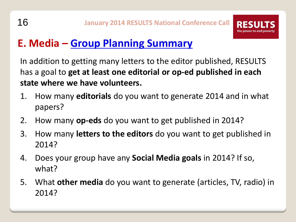

# **E. Media – [Group Planning Summary](http://www.results.org/uploads/files/2014_Group_Planning_Summary.doc)**

In addition to getting many letters to the editor published, RESULTS has a goal to **get at least one editorial or op-ed published in each state where we have volunteers.**

- 1. How many **editorials** do you want to generate 2014 and in what papers?
- 2. How many **op-eds** do you want to get published in 2014?
- 3. How many **letters to the editors** do you want to get published in 2014?
- 4. Does your group have any **Social Media goals** in 2014? If so, what?
- 5. What **other media** do you want to generate (articles, TV, radio) in 2014?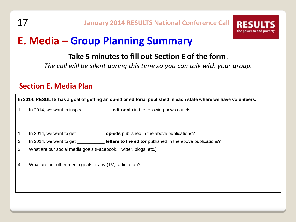

# **E. Media – [Group Planning Summary](http://www.results.org/uploads/files/2014_Group_Planning_Summary.doc)**

#### **Take 5 minutes to fill out Section E of the form**.

*The call will be silent during this time so you can talk with your group.*

#### **Section E. Media Plan**

**In 2014, RESULTS has a goal of getting an op-ed or editorial published in each state where we have volunteers.** 1. In 2014, we want to inspire \_\_\_\_\_\_\_\_\_\_\_ **editorials** in the following news outlets: 1. In 2014, we want to get \_\_\_\_\_\_\_\_\_\_\_ **op-eds** published in the above publications? 2. In 2014, we want to get **letters to the editor** published in the above publications? 3. What are our social media goals (Facebook, Twitter, blogs, etc.)? 4. What are our other media goals, if any (TV, radio, etc.)?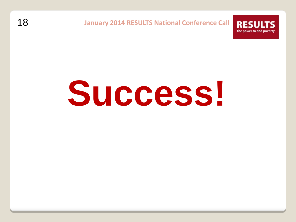

### 18 **January 2014 RESULTS National Conference Call**

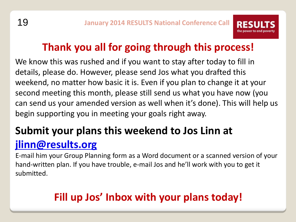

# **Thank you all for going through this process!**

We know this was rushed and if you want to stay after today to fill in details, please do. However, please send Jos what you drafted this weekend, no matter how basic it is. Even if you plan to change it at your second meeting this month, please still send us what you have now (you can send us your amended version as well when it's done). This will help us begin supporting you in meeting your goals right away.

# **Submit your plans this weekend to Jos Linn at [jlinn@results.org](mailto:jlinn@results.org)**

E-mail him your Group Planning form as a Word document or a scanned version of your hand-written plan. If you have trouble, e-mail Jos and he'll work with you to get it submitted.

# **Fill up Jos' Inbox with your plans today!**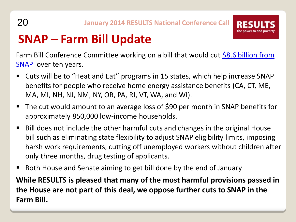

# **SNAP – Farm Bill Update**

Farm Bill Conference Committee working on a bill that would cut [\\$8.6 billion from](http://www.thenation.com/blog/177495/while-obama-talks-poverty-stabenow-agrees-8-billion-more-snap-cuts)  **[SNAP](http://www.thenation.com/blog/177495/while-obama-talks-poverty-stabenow-agrees-8-billion-more-snap-cuts)** over ten years.

- Cuts will be to "Heat and Eat" programs in 15 states, which help increase SNAP benefits for people who receive home energy assistance benefits (CA, CT, ME, MA, MI, NH, NJ, NM, NY, OR, PA, RI, VT, WA, and WI).
- The cut would amount to an average loss of \$90 per month in SNAP benefits for approximately 850,000 low-income households.
- Bill does not include the other harmful cuts and changes in the original House bill such as eliminating state flexibility to adjust SNAP eligibility limits, imposing harsh work requirements, cutting off unemployed workers without children after only three months, drug testing of applicants.
- Both House and Senate aiming to get bill done by the end of January

**While RESULTS is pleased that many of the most harmful provisions passed in the House are not part of this deal, we oppose further cuts to SNAP in the Farm Bill.**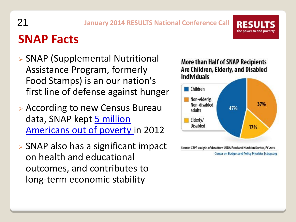# **SNAP Facts**

 SNAP (Supplemental Nutritional Assistance Program, formerly Food Stamps) is an our nation's first line of defense against hunger

21 **January 2014 RESULTS National Conference Call**

- According to new Census Bureau data, SNAP kept 5 million [Americans out of poverty](http://www.census.gov/newsroom/releases/archives/poverty/cb13-183.html) in 2012
- SNAP also has a significant impact on health and educational outcomes, and contributes to long-term economic stability

#### More than Half of SNAP Recipients Are Children, Elderly, and Disabled **Individuals** Children Non-elderly, 37% Non-disabled 47% adults Elderly/ **Disabled** 17% Source: CBPP analysis of data from USDA Food and Nutrition Service, FY 2010

Center on Budget and Policy Priorities | cbpp.org

**RESU** 

the power to end poverty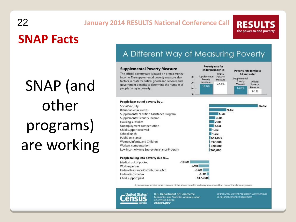# **SNAP Facts** 22 **January 2014 RESULTS National Conference Call**

SNAP (and other programs) are working

**RESULTS** the power to end poverty

### A Different Way of Measuring Poverty

#### **Supplemental Poverty Measure**

People kept out of poverty by ...

Supplemental Security Income

Unemployment compensation

Women, Infants, and Children

Social Security

Refundable tax credits

Child support received

Workers compensation

Housing subsidies

School lunch

F

Public assistance

The official poverty rate is based on pretax money income. The supplemental poverty measure also factors in costs for critical goods and services and government benefits to determine the number of people living in poverty.







#### People falling into poverty due to ...

| Aedical out of pocket              | $-10.6M$   |  |
|------------------------------------|------------|--|
| Vork expenses                      | $-5.9M$    |  |
| ederal Insurance Contributions Act | $-3.6M$    |  |
| ederal income tax                  | $-1.3M$    |  |
| hild support paid                  | $-417,000$ |  |
|                                    |            |  |

A person may receive more than one of the above benefits and may have more than one of the above expenses.



U.S. Department of Commerce Economics and Statistics Administration **U.S. CENSUS BUREAU** census.gov

Source: 2013 Current Population Survey Annual Social and Economic Supplement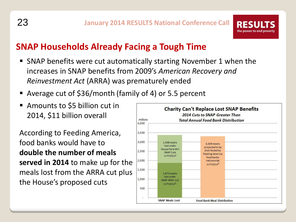

## **SNAP Households Already Facing a Tough Time**

- SNAP benefits were cut automatically starting November 1 when the increases in SNAP benefits from 2009's *American Recovery and Reinvestment Act* (ARRA) was prematurely ended
- Average cut of \$36/month (family of 4) or 5.5 percent
- Amounts to \$5 billion cut in 2014, \$11 billion overall

According to Feeding America, food banks would have to **double the number of meals served in 2014** to make up for the meals lost from the ARRA cut plus the House's proposed cuts

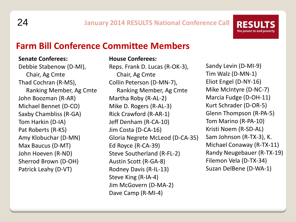

### **Farm Bill Conference Committee Members**

#### **Senate Conferees:**

Debbie Stabenow (D-MI), Chair, Ag Cmte Thad Cochran (R-MS), Ranking Member, Ag Cmte John Boozman (R-AR) Michael Bennet (D-CO) Saxby Chambliss (R-GA) Tom Harkin (D-IA) Pat Roberts (R-KS) Amy Klobuchar (D-MN) Max Baucus (D-MT) John Hoeven (R-ND) Sherrod Brown (D-OH) Patrick Leahy (D-VT)

#### **House Conferees:**

Reps. Frank D. Lucas (R-OK-3), Chair, Ag Cmte Collin Peterson (D-MN-7), Ranking Member, Ag Cmte Martha Roby (R-AL-2) Mike D. Rogers (R-AL-3) Rick Crawford (R-AR-1) Jeff Denham (R-CA-10) Jim Costa (D-CA-16) Gloria Negrete McLeod (D-CA-35) Ed Royce (R-CA-39) Steve Southerland (R-FL-2) Austin Scott (R-GA-8) Rodney Davis (R-IL-13) Steve King (R-IA-4) Jim McGovern (D-MA-2) Dave Camp (R-MI-4)

Sandy Levin (D-MI-9) Tim Walz (D-MN-1) Eliot Engel (D-NY-16) Mike McIntyre (D-NC-7) Marcia Fudge (D-OH-11) Kurt Schrader (D-OR-5) Glenn Thompson (R-PA-5) Tom Marino (R-PA-10) Kristi Noem (R-SD-AL) Sam Johnson (R-TX-3), K. Michael Conaway (R-TX-11) Randy Neugebauer (R-TX-19) Filemon Vela (D-TX-34) Suzan DelBene (D-WA-1)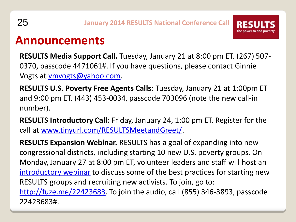

# **Announcements**

**RESULTS Media Support Call.** Tuesday, January 21 at 8:00 pm ET. (267) 507- 0370, passcode 4471061#. If you have questions, please contact Ginnie Vogts at [vmvogts@yahoo.com](mailto:vmvogts@yahoo.com).

**RESULTS U.S. Poverty Free Agents Calls:** Tuesday, January 21 at 1:00pm ET and 9:00 pm ET. (443) 453-0034, passcode 703096 (note the new call-in number).

**RESULTS Introductory Call:** Friday, January 24, 1:00 pm ET. Register for the call at [www.tinyurl.com/RESULTSMeetandGreet/](http://www.tinyurl.com/RESULTSMeetandGreet/).

**RESULTS Expansion Webinar.** RESULTS has a goal of expanding into new congressional districts, including starting 10 new U.S. poverty groups. On Monday, January 27 at 8:00 pm ET, volunteer leaders and staff will host an [introductory webinar](http://www.results.org/?/events/events_calendar/details/webinar_how_you_can_help_expand_congressional_coverage_8_pm_et) to discuss some of the best practices for starting new RESULTS groups and recruiting new activists. To join, go to: [http://fuze.me/22423683.](http://fuze.me/22423683) To join the audio, call (855) 346-3893, passcode 22423683#.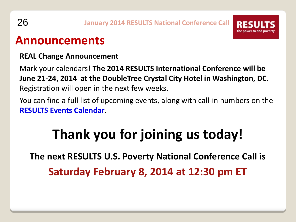

# **Announcements**

#### **REAL Change Announcement**

Mark your calendars! **The 2014 RESULTS International Conference will be June 21-24, 2014 at the DoubleTree Crystal City Hotel in Washington, DC.**  Registration will open in the next few weeks.

You can find a full list of upcoming events, along with call-in numbers on the **[RESULTS Events Calendar](http://www.results.org/events/events_calendar/)**.

# **Thank you for joining us today!**

**The next RESULTS U.S. Poverty National Conference Call is Saturday February 8, 2014 at 12:30 pm ET**